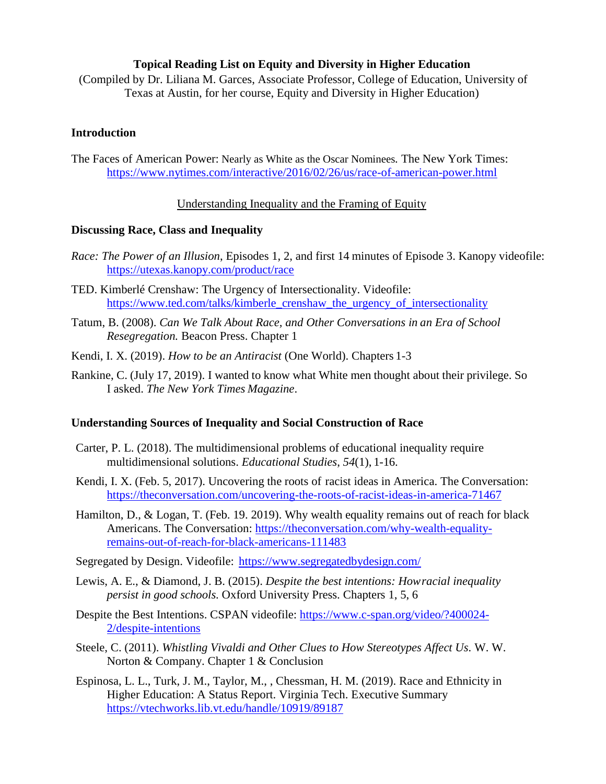### **Topical Reading List on Equity and Diversity in Higher Education**

(Compiled by Dr. Liliana M. Garces, Associate Professor, College of Education, University of Texas at Austin, for her course, Equity and Diversity in Higher Education)

### **Introduction**

The Faces of American Power: Nearly as White as the Oscar Nominees*.* The New York Times: <https://www.nytimes.com/interactive/2016/02/26/us/race-of-american-power.html>

### Understanding Inequality and the Framing of Equity

#### **Discussing Race, Class and Inequality**

- *Race: The Power of an Illusion*, Episodes 1, 2, and first 14 minutes of Episode 3. Kanopy videofile: <https://utexas.kanopy.com/product/race>
- TED. Kimberlé Crenshaw: The Urgency of Intersectionality. Videofile: https[://www.ted.com/talks/kimberle\\_crenshaw\\_the\\_urgency\\_of\\_intersectionality](http://www.ted.com/talks/kimberle_crenshaw_the_urgency_of_intersectionality)
- Tatum, B. (2008). *Can We Talk About Race, and Other Conversations in an Era of School Resegregation.* Beacon Press. Chapter 1
- Kendi, I. X. (2019). *How to be an Antiracist* (One World). Chapters 1-3
- Rankine, C. (July 17, 2019). I wanted to know what White men thought about their privilege. So I asked. *The New York Times Magazine*.

### **Understanding Sources of Inequality and Social Construction of Race**

- Carter, P. L. (2018). The multidimensional problems of educational inequality require multidimensional solutions. *Educational Studies*, *54*(1), 1-16.
- Kendi, I. X. (Feb. 5, 2017). Uncovering the roots of racist ideas in America. The Conversation: <https://theconversation.com/uncovering-the-roots-of-racist-ideas-in-america-71467>
- Hamilton, D., & Logan, T. (Feb. 19. 2019). Why wealth equality remains out of reach for black Americans. The Conversation: [https://theconversation.com/why-wealth-equality](https://theconversation.com/why-wealth-equality-remains-out-of-reach-for-black-americans-111483)[remains-out-of-reach-for-black-americans-111483](https://theconversation.com/why-wealth-equality-remains-out-of-reach-for-black-americans-111483)
- Segregated by Design. Videofile: https[://www.segregatedbydesign.com/](http://www.segregatedbydesign.com/)
- Lewis, A. E., & Diamond, J. B. (2015). *Despite the best intentions: Howracial inequality persist in good schools.* Oxford University Press. Chapters 1, 5, 6
- Despite the Best Intentions. CSPAN videofile: [https://www.c-span.org/video/?400024-](https://www.c-span.org/video/?400024-2/despite-intentions) [2/despite-intentions](https://www.c-span.org/video/?400024-2/despite-intentions)
- Steele, C. (2011). *Whistling Vivaldi and Other Clues to How Stereotypes Affect Us.* W. W. Norton & Company. Chapter 1 & Conclusion
- Espinosa, L. L., Turk, J. M., Taylor, M., , Chessman, H. M. (2019). Race and Ethnicity in Higher Education: A Status Report. Virginia Tech. Executive Summary <https://vtechworks.lib.vt.edu/handle/10919/89187>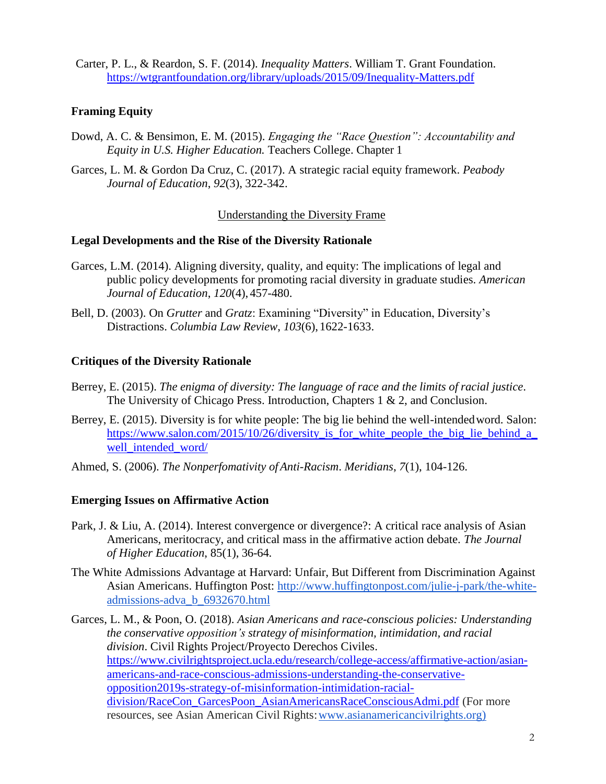Carter, P. L., & Reardon, S. F. (2014). *Inequality Matters*. William T. Grant Foundation. <https://wtgrantfoundation.org/library/uploads/2015/09/Inequality-Matters.pdf>

# **Framing Equity**

- Dowd, A. C. & Bensimon, E. M. (2015). *Engaging the "Race Question": Accountability and Equity in U.S. Higher Education.* Teachers College. Chapter 1
- Garces, L. M. & Gordon Da Cruz, C. (2017). A strategic racial equity framework. *Peabody Journal of Education*, *92*(3), 322-342.

Understanding the Diversity Frame

### **Legal Developments and the Rise of the Diversity Rationale**

- Garces, L.M. (2014). Aligning diversity, quality, and equity: The implications of legal and public policy developments for promoting racial diversity in graduate studies. *American Journal of Education*, *120*(4), 457-480.
- Bell, D. (2003). On *Grutter* and *Gratz*: Examining "Diversity" in Education, Diversity's Distractions. *Columbia Law Review*, *103*(6), 1622-1633.

# **Critiques of the Diversity Rationale**

- Berrey, E. (2015). *The enigma of diversity: The language of race and the limits of racial justice*. The University of Chicago Press. Introduction, Chapters 1 & 2, and Conclusion.
- Berrey, E. (2015). Diversity is for white people: The big lie behind the well-intended word. Salon: [https://www.salon.com/2015/10/26/diversity\\_is\\_for\\_white\\_people\\_the\\_big\\_lie\\_behind\\_a\\_](https://www.salon.com/2015/10/26/diversity_is_for_white_people_the_big_lie_behind_a_well_intended_word/) well intended word/
- Ahmed, S. (2006). *The Nonperfomativity ofAnti-Racism*. *Meridians*, *7*(1), 104-126.

# **Emerging Issues on Affirmative Action**

- Park, J. & Liu, A. (2014). Interest convergence or divergence?: A critical race analysis of Asian Americans, meritocracy, and critical mass in the affirmative action debate. *The Journal of Higher Education*, 85(1), 36-64.
- The White Admissions Advantage at Harvard: Unfair, But Different from Discrimination Against Asian Americans. Huffington Post: [http://www.huffingtonpost.com/julie-j-park/the-white](http://www.huffingtonpost.com/julie-j-park/the-white-admissions-adva_b_6932670.html)[admissions-adva\\_b\\_6932670.html](http://www.huffingtonpost.com/julie-j-park/the-white-admissions-adva_b_6932670.html)

Garces, L. M., & Poon, O. (2018). *Asian Americans and race-conscious policies: Understanding the conservative opposition's strategy of misinformation, intimidation, and racial division*. Civil Rights Project/Proyecto Derechos Civiles. [https://www.civilrightsproject.ucla.edu/research/college-access/affirmative-action/asian](https://www.civilrightsproject.ucla.edu/research/college-access/affirmative-action/asian-americans-and-race-conscious-admissions-understanding-the-conservative-opposition2019s-strategy-of-misinformation-intimidation-racial-division/RaceCon_GarcesPoon_AsianAmericansRaceConsciousAdmi.pdf)[americans-and-race-conscious-admissions-understanding-the-conservative](https://www.civilrightsproject.ucla.edu/research/college-access/affirmative-action/asian-americans-and-race-conscious-admissions-understanding-the-conservative-opposition2019s-strategy-of-misinformation-intimidation-racial-division/RaceCon_GarcesPoon_AsianAmericansRaceConsciousAdmi.pdf)[opposition2019s-strategy-of-misinformation-intimidation-racial](https://www.civilrightsproject.ucla.edu/research/college-access/affirmative-action/asian-americans-and-race-conscious-admissions-understanding-the-conservative-opposition2019s-strategy-of-misinformation-intimidation-racial-division/RaceCon_GarcesPoon_AsianAmericansRaceConsciousAdmi.pdf)[division/RaceCon\\_GarcesPoon\\_AsianAmericansRaceConsciousAdmi.pdf](https://www.civilrightsproject.ucla.edu/research/college-access/affirmative-action/asian-americans-and-race-conscious-admissions-understanding-the-conservative-opposition2019s-strategy-of-misinformation-intimidation-racial-division/RaceCon_GarcesPoon_AsianAmericansRaceConsciousAdmi.pdf) (For more resources, see Asian American Civil Rights[:www.asianamericancivilrights.org\)](http://www.asianamericancivilrights.org/)